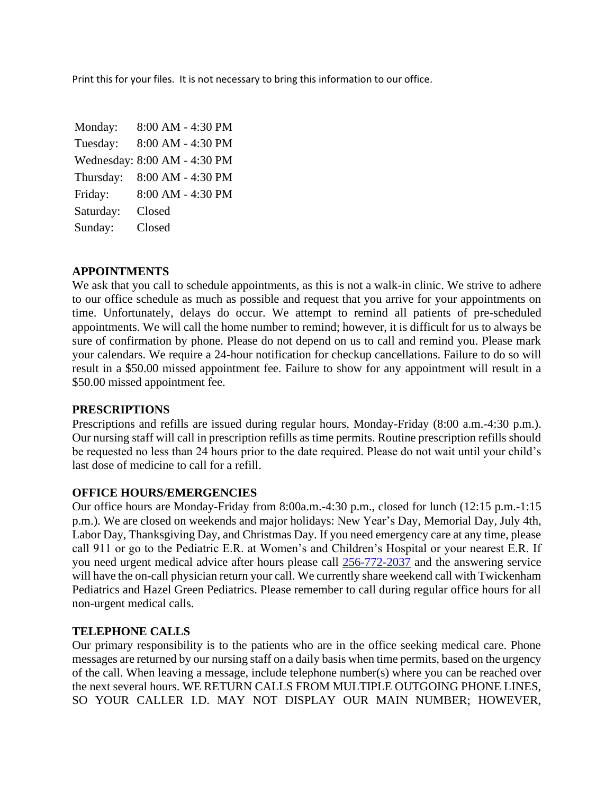Print this for your files. It is not necessary to bring this information to our office.

Monday: 8:00 AM - 4:30 PM Tuesday: 8:00 AM - 4:30 PM Wednesday: 8:00 AM - 4:30 PM Thursday: 8:00 AM - 4:30 PM Friday: 8:00 AM - 4:30 PM Saturday: Closed Sunday: Closed

## **APPOINTMENTS**

We ask that you call to schedule appointments, as this is not a walk-in clinic. We strive to adhere to our office schedule as much as possible and request that you arrive for your appointments on time. Unfortunately, delays do occur. We attempt to remind all patients of pre-scheduled appointments. We will call the home number to remind; however, it is difficult for us to always be sure of confirmation by phone. Please do not depend on us to call and remind you. Please mark your calendars. We require a 24-hour notification for checkup cancellations. Failure to do so will result in a \$50.00 missed appointment fee. Failure to show for any appointment will result in a \$50.00 missed appointment fee.

### **PRESCRIPTIONS**

Prescriptions and refills are issued during regular hours, Monday-Friday (8:00 a.m.-4:30 p.m.). Our nursing staff will call in prescription refills as time permits. Routine prescription refills should be requested no less than 24 hours prior to the date required. Please do not wait until your child's last dose of medicine to call for a refill.

### **OFFICE HOURS/EMERGENCIES**

Our office hours are Monday-Friday from 8:00a.m.-4:30 p.m., closed for lunch (12:15 p.m.-1:15 p.m.). We are closed on weekends and major holidays: New Year's Day, Memorial Day, July 4th, Labor Day, Thanksgiving Day, and Christmas Day. If you need emergency care at any time, please call 911 or go to the Pediatric E.R. at Women's and Children's Hospital or your nearest E.R. If you need urgent medical advice after hours please call [256-772-2037](tel:+1-256-772-2037) and the answering service will have the on-call physician return your call. We currently share weekend call with Twickenham Pediatrics and Hazel Green Pediatrics. Please remember to call during regular office hours for all non-urgent medical calls.

# **TELEPHONE CALLS**

Our primary responsibility is to the patients who are in the office seeking medical care. Phone messages are returned by our nursing staff on a daily basis when time permits, based on the urgency of the call. When leaving a message, include telephone number(s) where you can be reached over the next several hours. WE RETURN CALLS FROM MULTIPLE OUTGOING PHONE LINES, SO YOUR CALLER I.D. MAY NOT DISPLAY OUR MAIN NUMBER; HOWEVER,